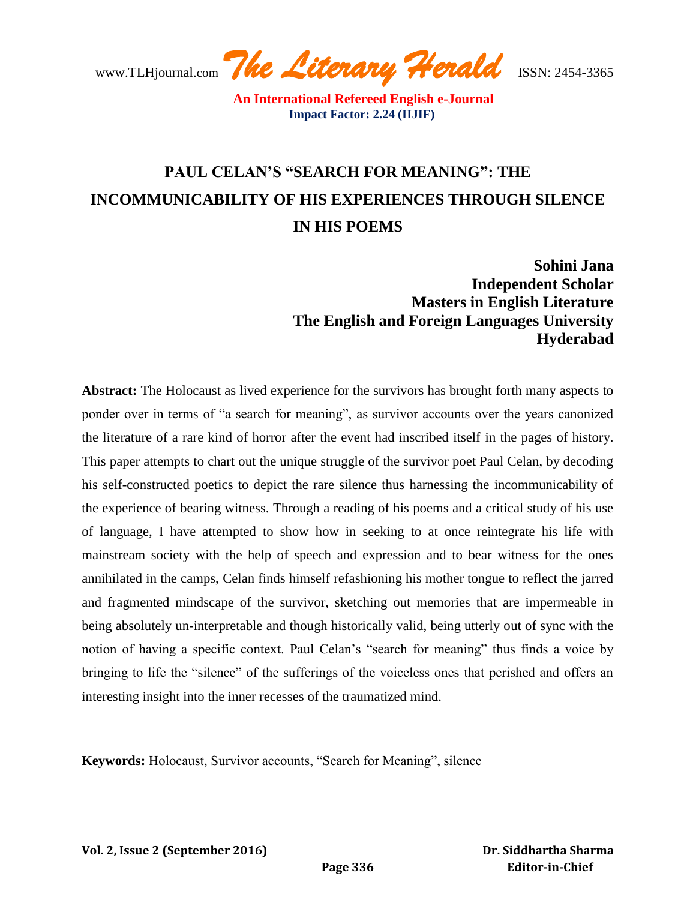www.TLHjournal.com *The Literary Herald*ISSN: 2454-3365

# **PAUL CELAN'S "SEARCH FOR MEANING": THE INCOMMUNICABILITY OF HIS EXPERIENCES THROUGH SILENCE IN HIS POEMS**

**Sohini Jana Independent Scholar Masters in English Literature The English and Foreign Languages University Hyderabad**

**Abstract:** The Holocaust as lived experience for the survivors has brought forth many aspects to ponder over in terms of "a search for meaning", as survivor accounts over the years canonized the literature of a rare kind of horror after the event had inscribed itself in the pages of history. This paper attempts to chart out the unique struggle of the survivor poet Paul Celan, by decoding his self-constructed poetics to depict the rare silence thus harnessing the incommunicability of the experience of bearing witness. Through a reading of his poems and a critical study of his use of language, I have attempted to show how in seeking to at once reintegrate his life with mainstream society with the help of speech and expression and to bear witness for the ones annihilated in the camps, Celan finds himself refashioning his mother tongue to reflect the jarred and fragmented mindscape of the survivor, sketching out memories that are impermeable in being absolutely un-interpretable and though historically valid, being utterly out of sync with the notion of having a specific context. Paul Celan"s "search for meaning" thus finds a voice by bringing to life the "silence" of the sufferings of the voiceless ones that perished and offers an interesting insight into the inner recesses of the traumatized mind.

**Keywords:** Holocaust, Survivor accounts, "Search for Meaning", silence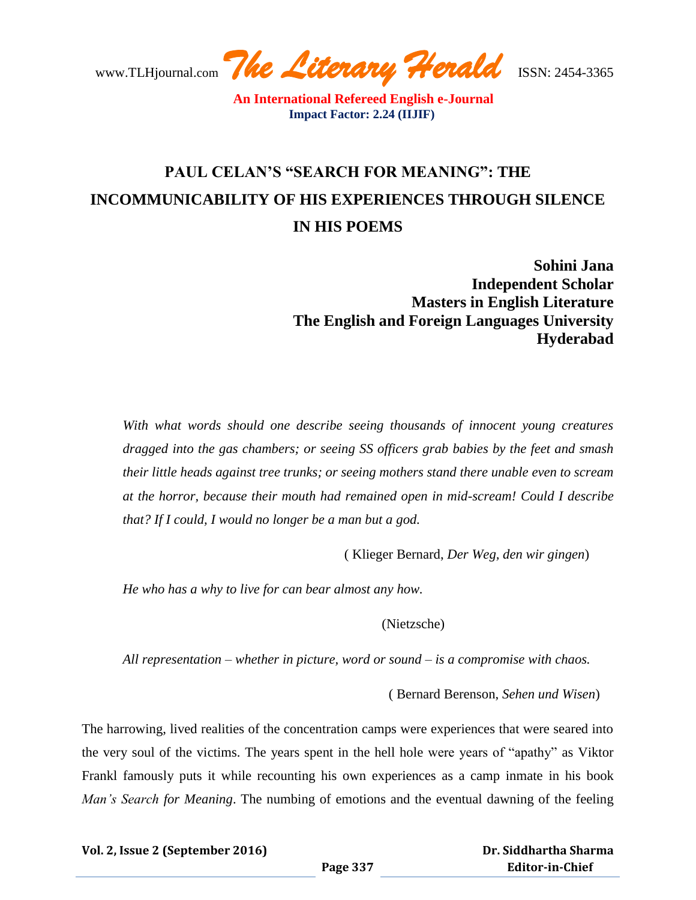www.TLHjournal.com *The Literary Herald*ISSN: 2454-3365

# **PAUL CELAN'S "SEARCH FOR MEANING": THE INCOMMUNICABILITY OF HIS EXPERIENCES THROUGH SILENCE IN HIS POEMS**

**Sohini Jana Independent Scholar Masters in English Literature The English and Foreign Languages University Hyderabad** 

*With what words should one describe seeing thousands of innocent young creatures dragged into the gas chambers; or seeing SS officers grab babies by the feet and smash their little heads against tree trunks; or seeing mothers stand there unable even to scream at the horror, because their mouth had remained open in mid-scream! Could I describe that? If I could, I would no longer be a man but a god.*

( Klieger Bernard, *Der Weg, den wir gingen*)

*He who has a why to live for can bear almost any how.*

(Nietzsche)

*All representation – whether in picture, word or sound – is a compromise with chaos.*

( Bernard Berenson, *Sehen und Wisen*)

The harrowing, lived realities of the concentration camps were experiences that were seared into the very soul of the victims. The years spent in the hell hole were years of "apathy" as Viktor Frankl famously puts it while recounting his own experiences as a camp inmate in his book *Man's Search for Meaning*. The numbing of emotions and the eventual dawning of the feeling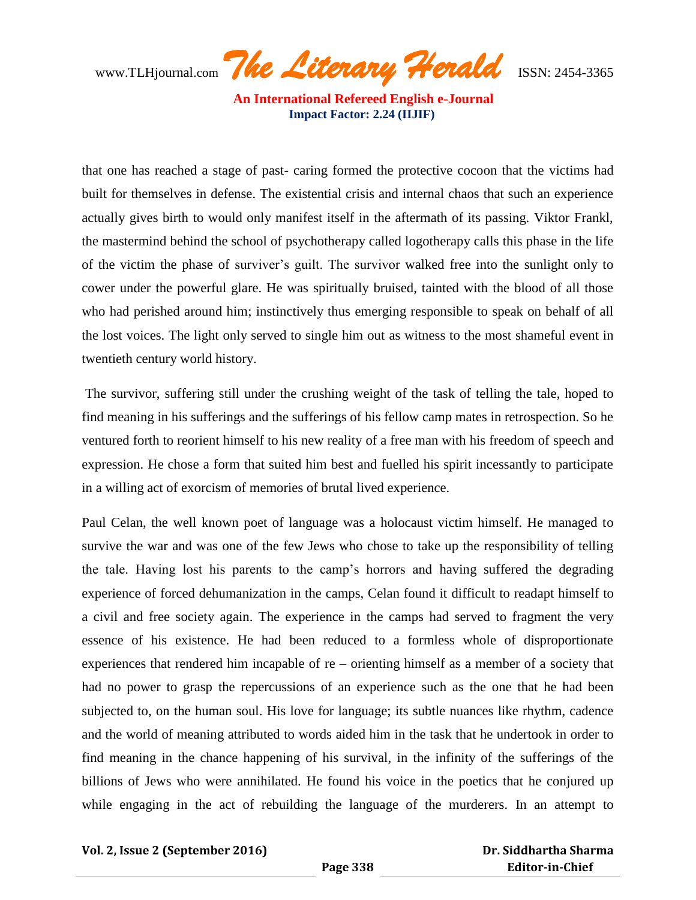www.TLHjournal.com *The Literary Herald*ISSN: 2454-3365

that one has reached a stage of past- caring formed the protective cocoon that the victims had built for themselves in defense. The existential crisis and internal chaos that such an experience actually gives birth to would only manifest itself in the aftermath of its passing. Viktor Frankl, the mastermind behind the school of psychotherapy called logotherapy calls this phase in the life of the victim the phase of surviver"s guilt. The survivor walked free into the sunlight only to cower under the powerful glare. He was spiritually bruised, tainted with the blood of all those who had perished around him; instinctively thus emerging responsible to speak on behalf of all the lost voices. The light only served to single him out as witness to the most shameful event in twentieth century world history.

The survivor, suffering still under the crushing weight of the task of telling the tale, hoped to find meaning in his sufferings and the sufferings of his fellow camp mates in retrospection. So he ventured forth to reorient himself to his new reality of a free man with his freedom of speech and expression. He chose a form that suited him best and fuelled his spirit incessantly to participate in a willing act of exorcism of memories of brutal lived experience.

Paul Celan, the well known poet of language was a holocaust victim himself. He managed to survive the war and was one of the few Jews who chose to take up the responsibility of telling the tale. Having lost his parents to the camp"s horrors and having suffered the degrading experience of forced dehumanization in the camps, Celan found it difficult to readapt himself to a civil and free society again. The experience in the camps had served to fragment the very essence of his existence. He had been reduced to a formless whole of disproportionate experiences that rendered him incapable of re – orienting himself as a member of a society that had no power to grasp the repercussions of an experience such as the one that he had been subjected to, on the human soul. His love for language; its subtle nuances like rhythm, cadence and the world of meaning attributed to words aided him in the task that he undertook in order to find meaning in the chance happening of his survival, in the infinity of the sufferings of the billions of Jews who were annihilated. He found his voice in the poetics that he conjured up while engaging in the act of rebuilding the language of the murderers. In an attempt to

#### **Vol. 2, Issue 2 (September 2016)**

 **Dr. Siddhartha Sharma Editor-in-Chief**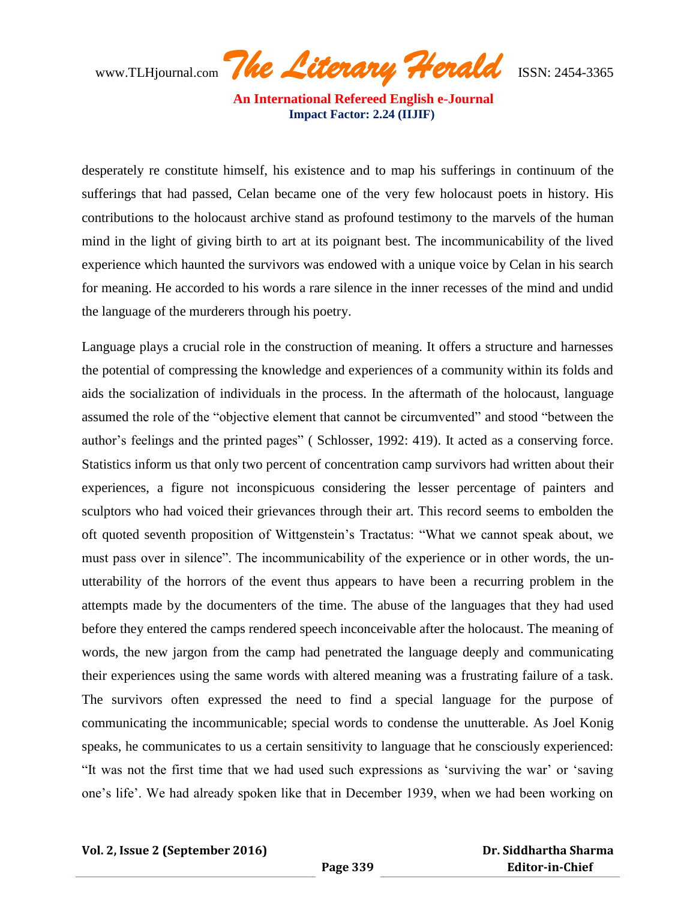www.TLHjournal.com *The Literary Herald*ISSN: 2454-3365

desperately re constitute himself, his existence and to map his sufferings in continuum of the sufferings that had passed, Celan became one of the very few holocaust poets in history. His contributions to the holocaust archive stand as profound testimony to the marvels of the human mind in the light of giving birth to art at its poignant best. The incommunicability of the lived experience which haunted the survivors was endowed with a unique voice by Celan in his search for meaning. He accorded to his words a rare silence in the inner recesses of the mind and undid the language of the murderers through his poetry.

Language plays a crucial role in the construction of meaning. It offers a structure and harnesses the potential of compressing the knowledge and experiences of a community within its folds and aids the socialization of individuals in the process. In the aftermath of the holocaust, language assumed the role of the "objective element that cannot be circumvented" and stood "between the author"s feelings and the printed pages" ( Schlosser, 1992: 419). It acted as a conserving force. Statistics inform us that only two percent of concentration camp survivors had written about their experiences, a figure not inconspicuous considering the lesser percentage of painters and sculptors who had voiced their grievances through their art. This record seems to embolden the oft quoted seventh proposition of Wittgenstein"s Tractatus: "What we cannot speak about, we must pass over in silence". The incommunicability of the experience or in other words, the unutterability of the horrors of the event thus appears to have been a recurring problem in the attempts made by the documenters of the time. The abuse of the languages that they had used before they entered the camps rendered speech inconceivable after the holocaust. The meaning of words, the new jargon from the camp had penetrated the language deeply and communicating their experiences using the same words with altered meaning was a frustrating failure of a task. The survivors often expressed the need to find a special language for the purpose of communicating the incommunicable; special words to condense the unutterable. As Joel Konig speaks, he communicates to us a certain sensitivity to language that he consciously experienced: "It was not the first time that we had used such expressions as "surviving the war" or "saving one"s life". We had already spoken like that in December 1939, when we had been working on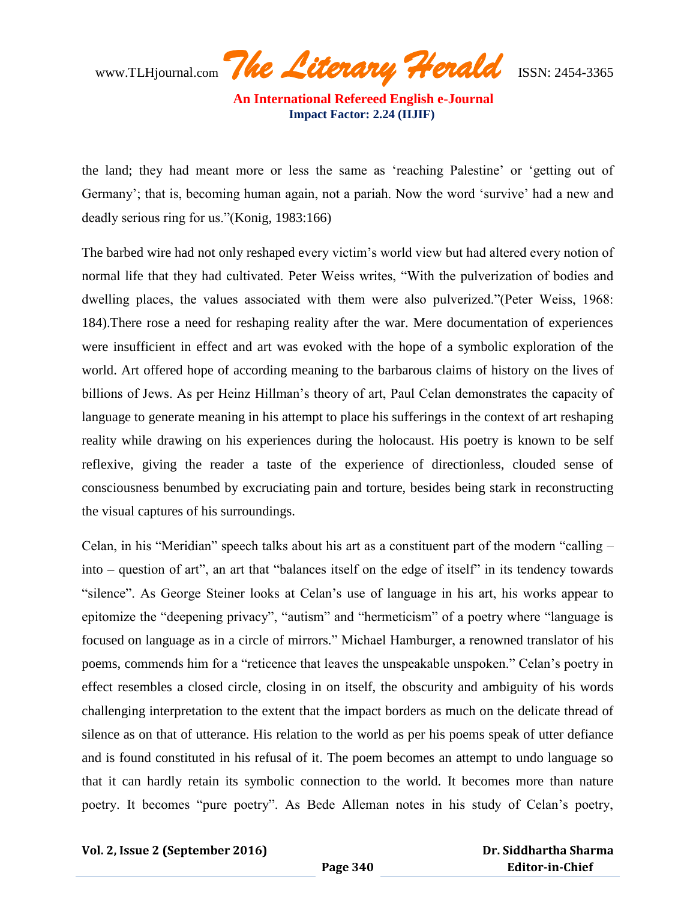www.TLHjournal.com *The Literary Herald*ISSN: 2454-3365

the land; they had meant more or less the same as "reaching Palestine" or "getting out of Germany'; that is, becoming human again, not a pariah. Now the word 'survive' had a new and deadly serious ring for us."(Konig, 1983:166)

The barbed wire had not only reshaped every victim"s world view but had altered every notion of normal life that they had cultivated. Peter Weiss writes, "With the pulverization of bodies and dwelling places, the values associated with them were also pulverized."(Peter Weiss, 1968: 184).There rose a need for reshaping reality after the war. Mere documentation of experiences were insufficient in effect and art was evoked with the hope of a symbolic exploration of the world. Art offered hope of according meaning to the barbarous claims of history on the lives of billions of Jews. As per Heinz Hillman's theory of art, Paul Celan demonstrates the capacity of language to generate meaning in his attempt to place his sufferings in the context of art reshaping reality while drawing on his experiences during the holocaust. His poetry is known to be self reflexive, giving the reader a taste of the experience of directionless, clouded sense of consciousness benumbed by excruciating pain and torture, besides being stark in reconstructing the visual captures of his surroundings.

Celan, in his "Meridian" speech talks about his art as a constituent part of the modern "calling – into – question of art", an art that "balances itself on the edge of itself" in its tendency towards "silence". As George Steiner looks at Celan"s use of language in his art, his works appear to epitomize the "deepening privacy", "autism" and "hermeticism" of a poetry where "language is focused on language as in a circle of mirrors." Michael Hamburger, a renowned translator of his poems, commends him for a "reticence that leaves the unspeakable unspoken." Celan"s poetry in effect resembles a closed circle, closing in on itself, the obscurity and ambiguity of his words challenging interpretation to the extent that the impact borders as much on the delicate thread of silence as on that of utterance. His relation to the world as per his poems speak of utter defiance and is found constituted in his refusal of it. The poem becomes an attempt to undo language so that it can hardly retain its symbolic connection to the world. It becomes more than nature poetry. It becomes "pure poetry". As Bede Alleman notes in his study of Celan's poetry,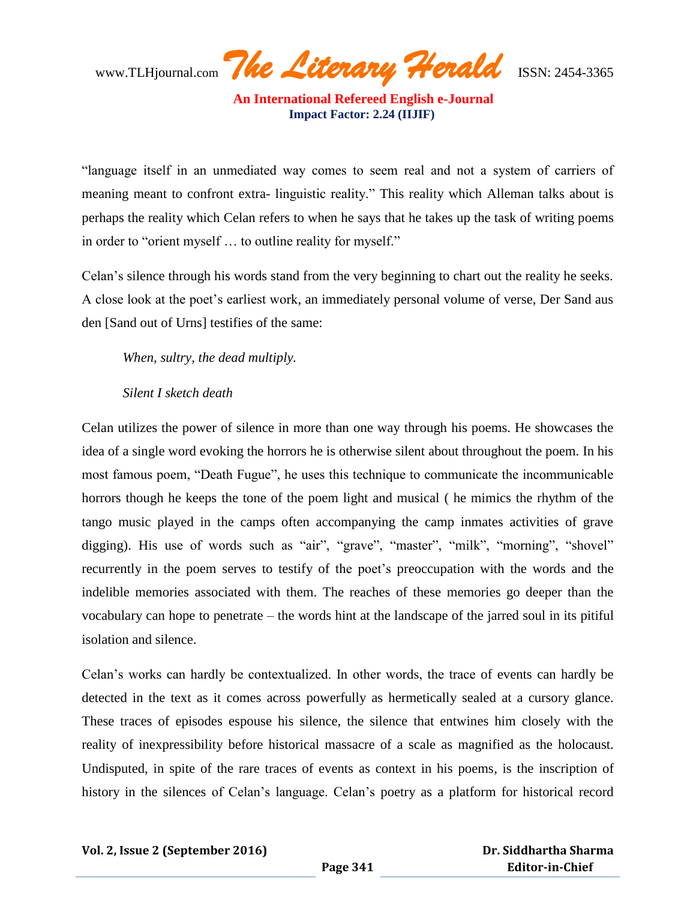www.TLHjournal.com *The Literary Herald*ISSN: 2454-3365

"language itself in an unmediated way comes to seem real and not a system of carriers of meaning meant to confront extra- linguistic reality." This reality which Alleman talks about is perhaps the reality which Celan refers to when he says that he takes up the task of writing poems in order to "orient myself … to outline reality for myself."

Celan"s silence through his words stand from the very beginning to chart out the reality he seeks. A close look at the poet"s earliest work, an immediately personal volume of verse, Der Sand aus den [Sand out of Urns] testifies of the same:

*When, sultry, the dead multiply.*

### *Silent I sketch death*

Celan utilizes the power of silence in more than one way through his poems. He showcases the idea of a single word evoking the horrors he is otherwise silent about throughout the poem. In his most famous poem, "Death Fugue", he uses this technique to communicate the incommunicable horrors though he keeps the tone of the poem light and musical ( he mimics the rhythm of the tango music played in the camps often accompanying the camp inmates activities of grave digging). His use of words such as "air", "grave", "master", "milk", "morning", "shovel" recurrently in the poem serves to testify of the poet"s preoccupation with the words and the indelible memories associated with them. The reaches of these memories go deeper than the vocabulary can hope to penetrate – the words hint at the landscape of the jarred soul in its pitiful isolation and silence.

Celan"s works can hardly be contextualized. In other words, the trace of events can hardly be detected in the text as it comes across powerfully as hermetically sealed at a cursory glance. These traces of episodes espouse his silence, the silence that entwines him closely with the reality of inexpressibility before historical massacre of a scale as magnified as the holocaust. Undisputed, in spite of the rare traces of events as context in his poems, is the inscription of history in the silences of Celan's language. Celan's poetry as a platform for historical record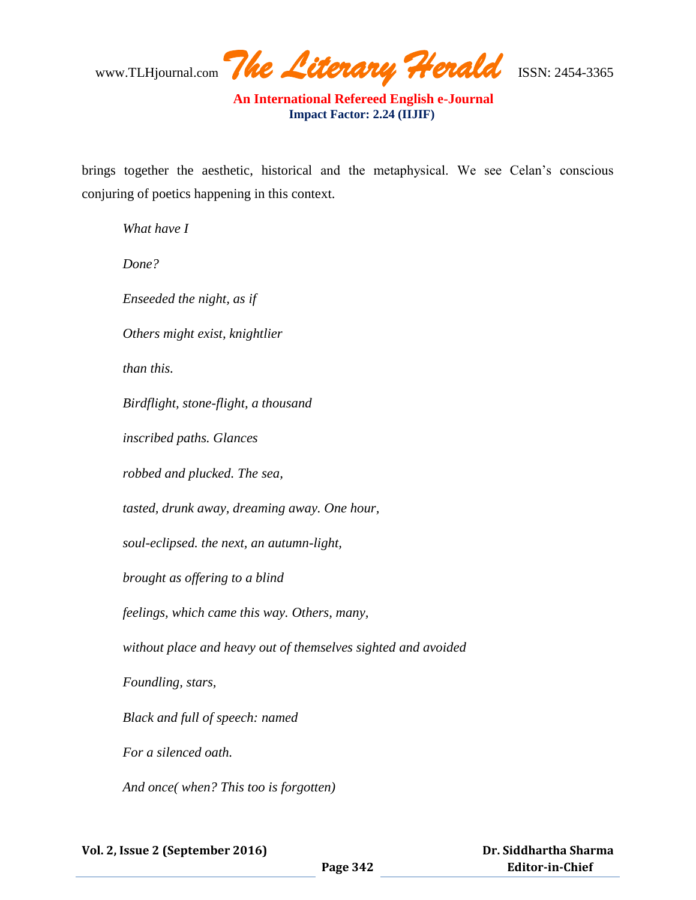www.TLHjournal.com *The Literary Herald*ISSN: 2454-3365

brings together the aesthetic, historical and the metaphysical. We see Celan's conscious conjuring of poetics happening in this context.

*What have I Done? Enseeded the night, as if Others might exist, knightlier than this. Birdflight, stone-flight, a thousand inscribed paths. Glances robbed and plucked. The sea, tasted, drunk away, dreaming away. One hour, soul-eclipsed. the next, an autumn-light, brought as offering to a blind feelings, which came this way. Others, many, without place and heavy out of themselves sighted and avoided Foundling, stars, Black and full of speech: named For a silenced oath. And once( when? This too is forgotten)*

 **Dr. Siddhartha Sharma Editor-in-Chief**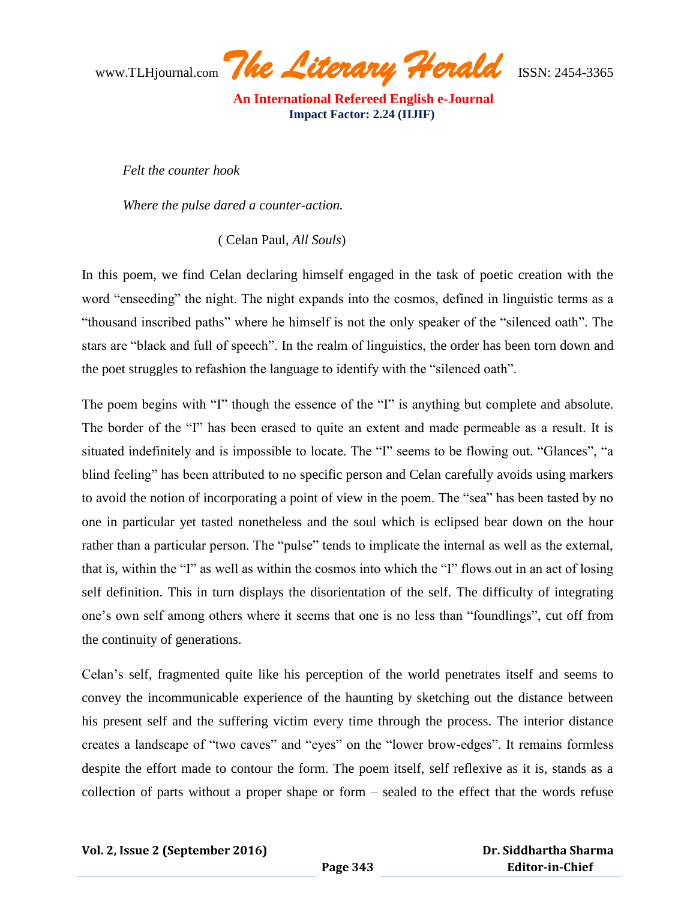www.TLHjournal.com *The Literary Herald*ISSN: 2454-3365

*Felt the counter hook*

*Where the pulse dared a counter-action.*

( Celan Paul, *All Souls*)

In this poem, we find Celan declaring himself engaged in the task of poetic creation with the word "enseeding" the night. The night expands into the cosmos, defined in linguistic terms as a "thousand inscribed paths" where he himself is not the only speaker of the "silenced oath". The stars are "black and full of speech". In the realm of linguistics, the order has been torn down and the poet struggles to refashion the language to identify with the "silenced oath".

The poem begins with "I" though the essence of the "I" is anything but complete and absolute. The border of the "I" has been erased to quite an extent and made permeable as a result. It is situated indefinitely and is impossible to locate. The "I" seems to be flowing out. "Glances", "a blind feeling" has been attributed to no specific person and Celan carefully avoids using markers to avoid the notion of incorporating a point of view in the poem. The "sea" has been tasted by no one in particular yet tasted nonetheless and the soul which is eclipsed bear down on the hour rather than a particular person. The "pulse" tends to implicate the internal as well as the external, that is, within the "I" as well as within the cosmos into which the "I" flows out in an act of losing self definition. This in turn displays the disorientation of the self. The difficulty of integrating one"s own self among others where it seems that one is no less than "foundlings", cut off from the continuity of generations.

Celan"s self, fragmented quite like his perception of the world penetrates itself and seems to convey the incommunicable experience of the haunting by sketching out the distance between his present self and the suffering victim every time through the process. The interior distance creates a landscape of "two caves" and "eyes" on the "lower brow-edges". It remains formless despite the effort made to contour the form. The poem itself, self reflexive as it is, stands as a collection of parts without a proper shape or form – sealed to the effect that the words refuse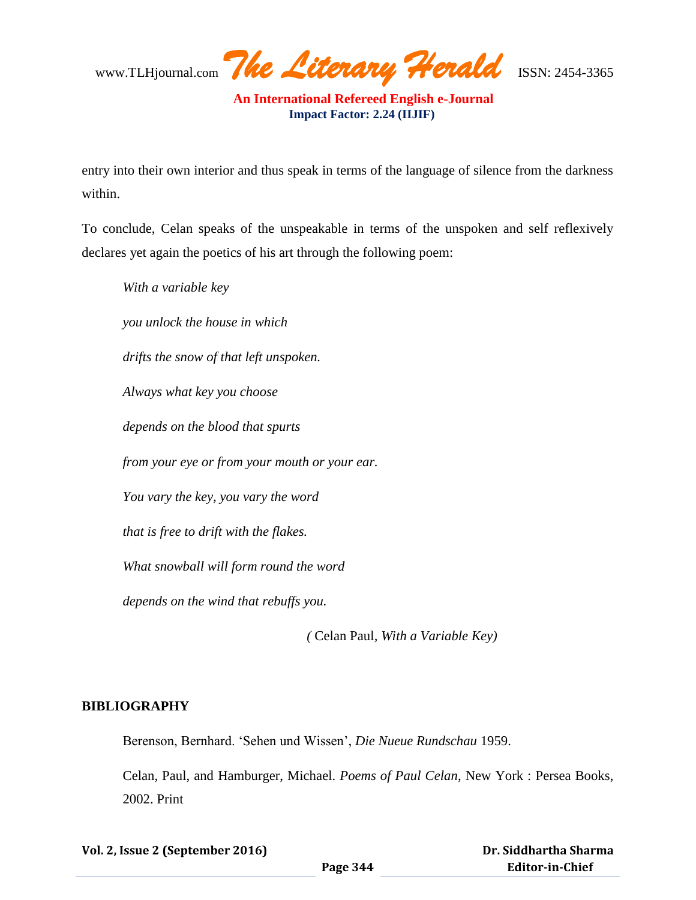www.TLHjournal.com *The Literary Herald*ISSN: 2454-3365

entry into their own interior and thus speak in terms of the language of silence from the darkness within.

To conclude, Celan speaks of the unspeakable in terms of the unspoken and self reflexively declares yet again the poetics of his art through the following poem:

*With a variable key you unlock the house in which drifts the snow of that left unspoken. Always what key you choose depends on the blood that spurts from your eye or from your mouth or your ear. You vary the key, you vary the word that is free to drift with the flakes. What snowball will form round the word depends on the wind that rebuffs you.*

 *(* Celan Paul*, With a Variable Key)*

#### **BIBLIOGRAPHY**

Berenson, Bernhard. "Sehen und Wissen", *Die Nueue Rundschau* 1959.

Celan, Paul, and Hamburger, Michael. *Poems of Paul Celan*, New York : Persea Books, 2002. Print

**Vol. 2, Issue 2 (September 2016)**

 **Dr. Siddhartha Sharma Editor-in-Chief**